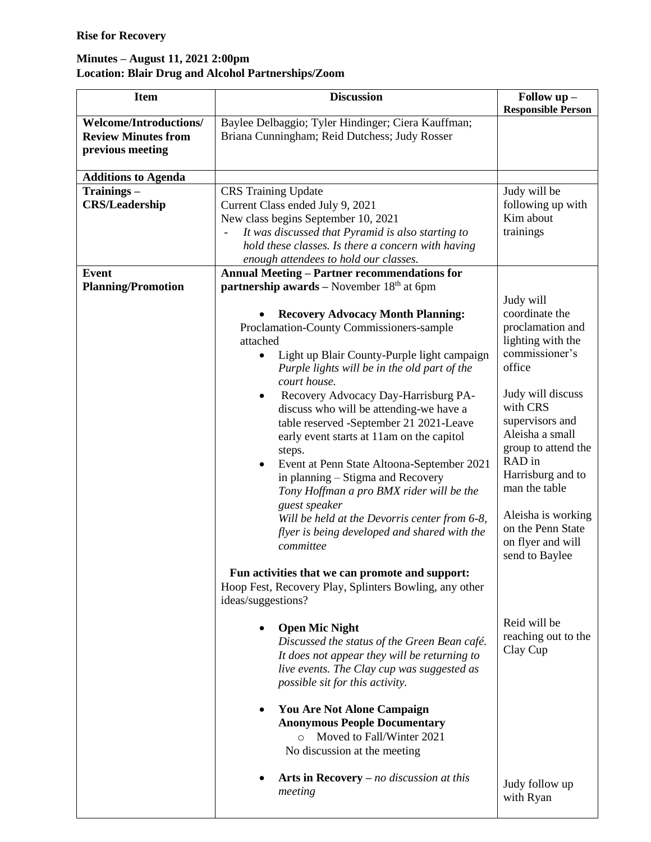## **Minutes – August 11, 2021 2:00pm Location: Blair Drug and Alcohol Partnerships/Zoom**

| <b>Item</b>                                                                     | <b>Discussion</b>                                                                                                                                                                                                                                                                                                                                                                                                                                                                                                                                                                                                                                                                                                                                       | Follow up -<br><b>Responsible Person</b>                                                                                                                                                                                                                                                                       |
|---------------------------------------------------------------------------------|---------------------------------------------------------------------------------------------------------------------------------------------------------------------------------------------------------------------------------------------------------------------------------------------------------------------------------------------------------------------------------------------------------------------------------------------------------------------------------------------------------------------------------------------------------------------------------------------------------------------------------------------------------------------------------------------------------------------------------------------------------|----------------------------------------------------------------------------------------------------------------------------------------------------------------------------------------------------------------------------------------------------------------------------------------------------------------|
| <b>Welcome/Introductions/</b><br><b>Review Minutes from</b><br>previous meeting | Baylee Delbaggio; Tyler Hindinger; Ciera Kauffman;<br>Briana Cunningham; Reid Dutchess; Judy Rosser                                                                                                                                                                                                                                                                                                                                                                                                                                                                                                                                                                                                                                                     |                                                                                                                                                                                                                                                                                                                |
| <b>Additions to Agenda</b>                                                      |                                                                                                                                                                                                                                                                                                                                                                                                                                                                                                                                                                                                                                                                                                                                                         |                                                                                                                                                                                                                                                                                                                |
| Trainings-<br><b>CRS/Leadership</b>                                             | <b>CRS</b> Training Update<br>Current Class ended July 9, 2021<br>New class begins September 10, 2021<br>It was discussed that Pyramid is also starting to<br>hold these classes. Is there a concern with having                                                                                                                                                                                                                                                                                                                                                                                                                                                                                                                                        | Judy will be<br>following up with<br>Kim about<br>trainings                                                                                                                                                                                                                                                    |
|                                                                                 | enough attendees to hold our classes.                                                                                                                                                                                                                                                                                                                                                                                                                                                                                                                                                                                                                                                                                                                   |                                                                                                                                                                                                                                                                                                                |
| <b>Event</b>                                                                    | <b>Annual Meeting - Partner recommendations for</b>                                                                                                                                                                                                                                                                                                                                                                                                                                                                                                                                                                                                                                                                                                     |                                                                                                                                                                                                                                                                                                                |
| <b>Planning/Promotion</b>                                                       | <b>partnership awards</b> – November $18th$ at 6pm<br><b>Recovery Advocacy Month Planning:</b><br>Proclamation-County Commissioners-sample<br>attached<br>Light up Blair County-Purple light campaign<br>$\bullet$<br>Purple lights will be in the old part of the<br>court house.<br>Recovery Advocacy Day-Harrisburg PA-<br>$\bullet$<br>discuss who will be attending-we have a<br>table reserved -September 21 2021-Leave<br>early event starts at 11am on the capitol<br>steps.<br>Event at Penn State Altoona-September 2021<br>٠<br>in planning – Stigma and Recovery<br>Tony Hoffman a pro BMX rider will be the<br>guest speaker<br>Will be held at the Devorris center from 6-8,<br>flyer is being developed and shared with the<br>committee | Judy will<br>coordinate the<br>proclamation and<br>lighting with the<br>commissioner's<br>office<br>Judy will discuss<br>with CRS<br>supervisors and<br>Aleisha a small<br>group to attend the<br>RAD in<br>Harrisburg and to<br>man the table<br>Aleisha is working<br>on the Penn State<br>on flyer and will |
|                                                                                 | Fun activities that we can promote and support:<br>Hoop Fest, Recovery Play, Splinters Bowling, any other<br>ideas/suggestions?<br><b>Open Mic Night</b><br>$\bullet$<br>Discussed the status of the Green Bean café.<br>It does not appear they will be returning to<br>live events. The Clay cup was suggested as<br>possible sit for this activity.<br><b>You Are Not Alone Campaign</b><br>$\bullet$<br><b>Anonymous People Documentary</b><br>Moved to Fall/Winter 2021<br>$\circ$<br>No discussion at the meeting<br>Arts in Recovery $-$ no discussion at this<br>meeting                                                                                                                                                                        | send to Baylee<br>Reid will be<br>reaching out to the<br>Clay Cup<br>Judy follow up<br>with Ryan                                                                                                                                                                                                               |